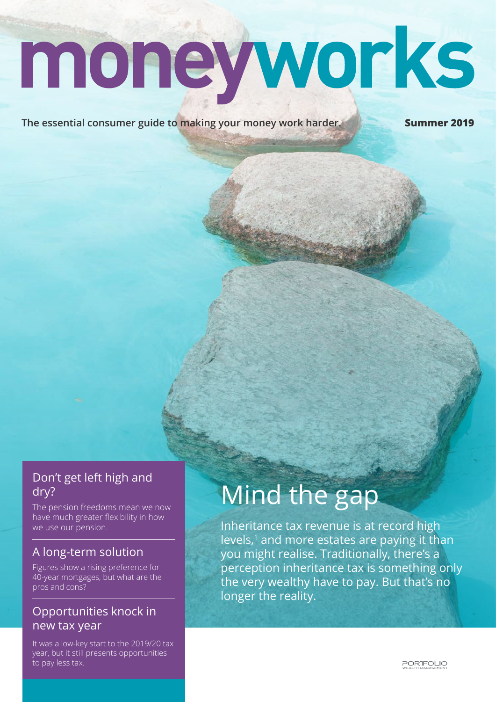# moneyworks

**The essential consumer guide to making your money work harder. Summer 2019**

### Don't get left high and dry?

The pension freedoms mean we now have much greater flexibility in how we use our pension.

### A long-term solution

Figures show a rising preference for 40-year mortgages, but what are the pros and cons?

### Opportunities knock in new tax year

It was a low-key start to the 2019/20 tax year, but it still presents opportunities to pay less tax.

## Mind the gap

Inheritance tax revenue is at record high levels, $1$  and more estates are paying it than you might realise. Traditionally, there's a perception inheritance tax is something only the very wealthy have to pay. But that's no longer the reality.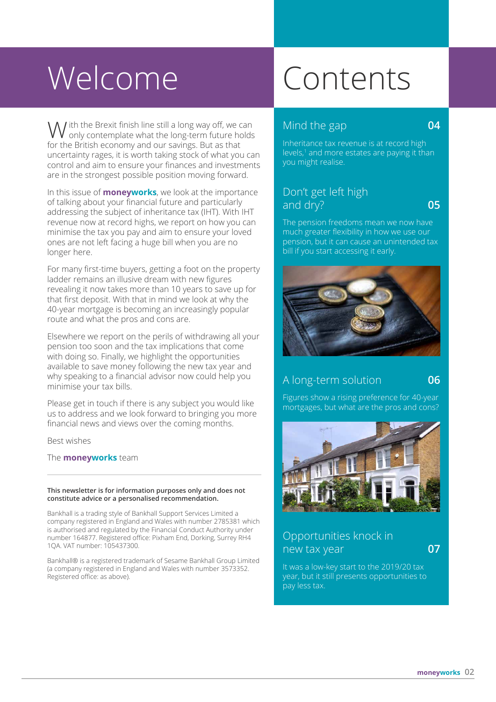# Welcome Contents

 $\setminus \bigwedge$  *i* th the Brexit finish line still a long way off, we can W ith the Brexit finish line still a long way off, we can **COMIC Mind the gap 04**<br>
Mind the gap **04**<br>
Inheritance tax reveaus is at record bigh for the British economy and our savings. But as that uncertainty rages, it is worth taking stock of what you can control and aim to ensure your finances and investments are in the strongest possible position moving forward.

In this issue of **moneyworks**, we look at the importance of talking about your financial future and particularly addressing the subject of inheritance tax (IHT). With IHT revenue now at record highs, we report on how you can minimise the tax you pay and aim to ensure your loved ones are not left facing a huge bill when you are no longer here.

For many first-time buyers, getting a foot on the property ladder remains an illusive dream with new figures revealing it now takes more than 10 years to save up for that first deposit. With that in mind we look at why the 40-year mortgage is becoming an increasingly popular route and what the pros and cons are.

Elsewhere we report on the perils of withdrawing all your pension too soon and the tax implications that come with doing so. Finally, we highlight the opportunities available to save money following the new tax year and why speaking to a financial advisor now could help you minimise your tax bills.

Please get in touch if there is any subject you would like us to address and we look forward to bringing you more financial news and views over the coming months.

Best wishes

The **moneyworks** team

#### **This newsletter is for information purposes only and does not constitute advice or a personalised recommendation.**

Bankhall is a trading style of Bankhall Support Services Limited a company registered in England and Wales with number 2785381 which is authorised and regulated by the Financial Conduct Authority under number 164877. Registered office: Pixham End, Dorking, Surrey RH4 1QA. VAT number: 105437300.

Bankhall® is a registered trademark of Sesame Bankhall Group Limited (a company registered in England and Wales with number 3573352. Registered office: as above).

Inheritance tax revenue is at record high levels,<sup>1</sup> and more estates are paying it than you might realise.

### Don't get left high and dry? **05**

The pension freedoms mean we now have much greater flexibility in how we use our pension, but it can cause an unintended tax bill if you start accessing it early.



### A long-term solution **06**

Figures show a rising preference for 40-year mortgages, but what are the pros and cons?



### Opportunities knock in new tax year **07**

It was a low-key start to the 2019/20 tax year, but it still presents opportunities to pay less tax.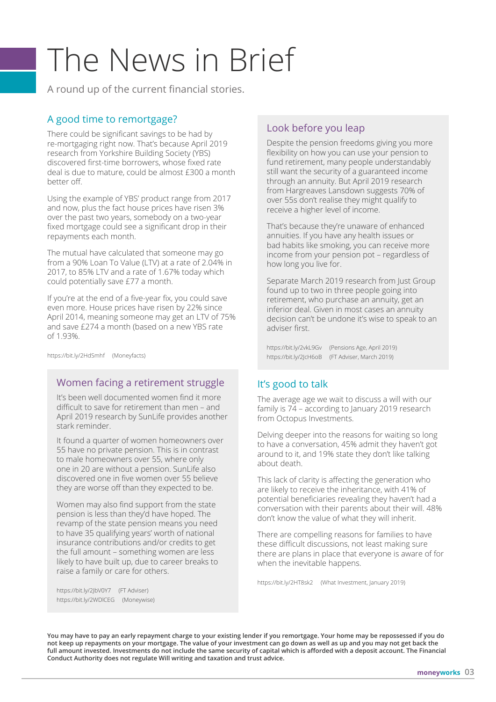# The News in Brief

A round up of the current financial stories.

### A good time to remortgage?

There could be significant savings to be had by re-mortgaging right now. That's because April 2019 research from Yorkshire Building Society (YBS) discovered first-time borrowers, whose fixed rate deal is due to mature, could be almost £300 a month better off.

Using the example of YBS' product range from 2017 and now, plus the fact house prices have risen 3% over the past two years, somebody on a two-year fixed mortgage could see a significant drop in their repayments each month.

The mutual have calculated that someone may go from a 90% Loan To Value (LTV) at a rate of 2.04% in 2017, to 85% LTV and a rate of 1.67% today which could potentially save £77 a month.

If you're at the end of a five-year fix, you could save even more. House prices have risen by 22% since April 2014, meaning someone may get an LTV of 75% and save £274 a month (based on a new YBS rate of 1.93%.

https://bit.ly/2HdSmhf (Moneyfacts)

### Women facing a retirement struggle

It's been well documented women find it more difficult to save for retirement than men – and April 2019 research by SunLife provides another stark reminder.

It found a quarter of women homeowners over 55 have no private pension. This is in contrast to male homeowners over 55, where only one in 20 are without a pension. SunLife also discovered one in five women over 55 believe they are worse off than they expected to be.

Women may also find support from the state pension is less than they'd have hoped. The revamp of the state pension means you need to have 35 qualifying years' worth of national insurance contributions and/or credits to get the full amount – something women are less likely to have built up, due to career breaks to raise a family or care for others.

https://bit.ly/2JbV0Y7 (FT Adviser) https://bit.ly/2WDlCEG (Moneywise)

### Look before you leap

Despite the pension freedoms giving you more flexibility on how you can use your pension to fund retirement, many people understandably still want the security of a guaranteed income through an annuity. But April 2019 research from Hargreaves Lansdown suggests 70% of over 55s don't realise they might qualify to receive a higher level of income.

That's because they're unaware of enhanced annuities. If you have any health issues or bad habits like smoking, you can receive more income from your pension pot – regardless of how long you live for.

Separate March 2019 research from Just Group found up to two in three people going into retirement, who purchase an annuity, get an inferior deal. Given in most cases an annuity decision can't be undone it's wise to speak to an adviser first.

https://bit.ly/2vkL9Gv (Pensions Age, April 2019) https://bit.ly/2JcH6oB (FT Adviser, March 2019)

### It's good to talk

The average age we wait to discuss a will with our family is 74 – according to January 2019 research from Octopus Investments.

Delving deeper into the reasons for waiting so long to have a conversation, 45% admit they haven't got around to it, and 19% state they don't like talking about death.

This lack of clarity is affecting the generation who are likely to receive the inheritance, with 41% of potential beneficiaries revealing they haven't had a conversation with their parents about their will. 48% don't know the value of what they will inherit.

There are compelling reasons for families to have these difficult discussions, not least making sure there are plans in place that everyone is aware of for when the inevitable happens.

https://bit.ly/2HT8sk2 (What Investment, January 2019)

**You may have to pay an early repayment charge to your existing lender if you remortgage. Your home may be repossessed if you do not keep up repayments on your mortgage. The value of your investment can go down as well as up and you may not get back the full amount invested. Investments do not include the same security of capital which is afforded with a deposit account. The Financial Conduct Authority does not regulate Will writing and taxation and trust advice.**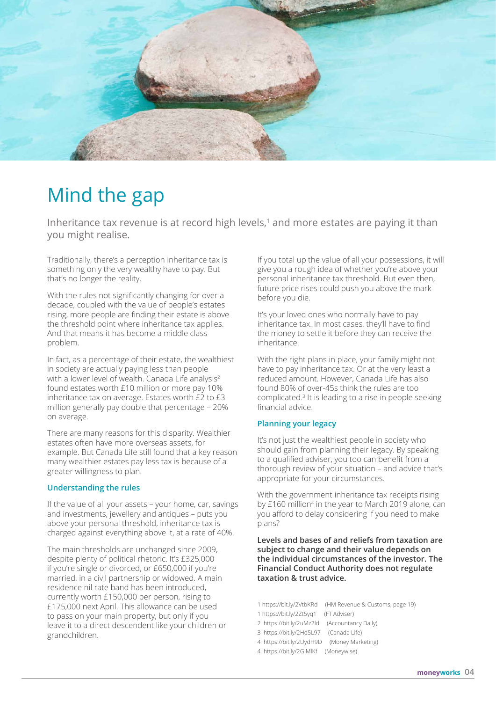

### Mind the gap

Inheritance tax revenue is at record high levels, $1$  and more estates are paying it than you might realise.

Traditionally, there's a perception inheritance tax is something only the very wealthy have to pay. But that's no longer the reality.

With the rules not significantly changing for over a decade, coupled with the value of people's estates rising, more people are finding their estate is above the threshold point where inheritance tax applies. And that means it has become a middle class problem.

In fact, as a percentage of their estate, the wealthiest in society are actually paying less than people with a lower level of wealth. Canada Life analysis<sup>2</sup> found estates worth £10 million or more pay 10% inheritance tax on average. Estates worth £2 to £3 million generally pay double that percentage – 20% on average.

There are many reasons for this disparity. Wealthier estates often have more overseas assets, for example. But Canada Life still found that a key reason many wealthier estates pay less tax is because of a greater willingness to plan.

### **Understanding the rules**

If the value of all your assets – your home, car, savings and investments, jewellery and antiques – puts you above your personal threshold, inheritance tax is charged against everything above it, at a rate of 40%.

The main thresholds are unchanged since 2009, despite plenty of political rhetoric. It's £325,000 if you're single or divorced, or £650,000 if you're married, in a civil partnership or widowed. A main residence nil rate band has been introduced, currently worth £150,000 per person, rising to £175,000 next April. This allowance can be used to pass on your main property, but only if you leave it to a direct descendent like your children or grandchildren.

If you total up the value of all your possessions, it will give you a rough idea of whether you're above your personal inheritance tax threshold. But even then, future price rises could push you above the mark before you die.

It's your loved ones who normally have to pay inheritance tax. In most cases, they'll have to find the money to settle it before they can receive the inheritance.

With the right plans in place, your family might not have to pay inheritance tax. Or at the very least a reduced amount. However, Canada Life has also found 80% of over-45s think the rules are too complicated.3 It is leading to a rise in people seeking financial advice.

### **Planning your legacy**

It's not just the wealthiest people in society who should gain from planning their legacy. By speaking to a qualified adviser, you too can benefit from a thorough review of your situation – and advice that's appropriate for your circumstances.

With the government inheritance tax receipts rising by £160 million<sup>4</sup> in the year to March 2019 alone, can you afford to delay considering if you need to make plans?

**Levels and bases of and reliefs from taxation are subject to change and their value depends on the individual circumstances of the investor. The Financial Conduct Authority does not regulate taxation & trust advice.**

1 https://bit.ly/2VtbKRd (HM Revenue & Customs, page 19) 1 https://bit.ly/2Zt5yq1 (FT Adviser) 2 https://bit.ly/2uMz2ld (Accountancy Daily) 3 https://bit.ly/2Hd5L97 (Canada Life) 4 https://bit.ly/2UydH9D (Money Marketing) 4 https://bit.ly/2GIMlKf (Moneywise)

**04 moneyworks**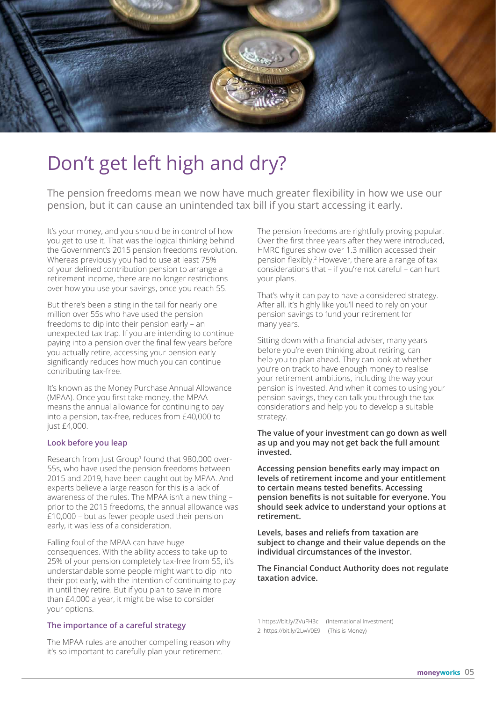

### Don't get left high and dry?

The pension freedoms mean we now have much greater flexibility in how we use our pension, but it can cause an unintended tax bill if you start accessing it early.

It's your money, and you should be in control of how you get to use it. That was the logical thinking behind the Government's 2015 pension freedoms revolution. Whereas previously you had to use at least 75% of your defined contribution pension to arrange a retirement income, there are no longer restrictions over how you use your savings, once you reach 55.

But there's been a sting in the tail for nearly one million over 55s who have used the pension freedoms to dip into their pension early – an unexpected tax trap. If you are intending to continue paying into a pension over the final few years before you actually retire, accessing your pension early significantly reduces how much you can continue contributing tax-free.

It's known as the Money Purchase Annual Allowance (MPAA). Once you first take money, the MPAA means the annual allowance for continuing to pay into a pension, tax-free, reduces from £40,000 to just £4,000.

### **Look before you leap**

Research from Just Group<sup>1</sup> found that 980,000 over-55s, who have used the pension freedoms between 2015 and 2019, have been caught out by MPAA. And experts believe a large reason for this is a lack of awareness of the rules. The MPAA isn't a new thing – prior to the 2015 freedoms, the annual allowance was £10,000 – but as fewer people used their pension early, it was less of a consideration.

Falling foul of the MPAA can have huge consequences. With the ability access to take up to 25% of your pension completely tax-free from 55, it's understandable some people might want to dip into their pot early, with the intention of continuing to pay in until they retire. But if you plan to save in more than £4,000 a year, it might be wise to consider your options.

### **The importance of a careful strategy**

The MPAA rules are another compelling reason why it's so important to carefully plan your retirement.

The pension freedoms are rightfully proving popular. Over the first three years after they were introduced, HMRC figures show over 1.3 million accessed their pension flexibly.2 However, there are a range of tax considerations that – if you're not careful – can hurt your plans.

That's why it can pay to have a considered strategy. After all, it's highly like you'll need to rely on your pension savings to fund your retirement for many years.

Sitting down with a financial adviser, many years before you're even thinking about retiring, can help you to plan ahead. They can look at whether you're on track to have enough money to realise your retirement ambitions, including the way your pension is invested. And when it comes to using your pension savings, they can talk you through the tax considerations and help you to develop a suitable strategy.

### **The value of your investment can go down as well as up and you may not get back the full amount invested.**

**Accessing pension benefits early may impact on levels of retirement income and your entitlement to certain means tested benefits. Accessing pension benefits is not suitable for everyone. You should seek advice to understand your options at retirement.**

**Levels, bases and reliefs from taxation are subject to change and their value depends on the individual circumstances of the investor.**

**The Financial Conduct Authority does not regulate taxation advice.**

1 https://bit.ly/2VuFH3c (International Investment) 2 https://bit.ly/2LwV0E9 (This is Money)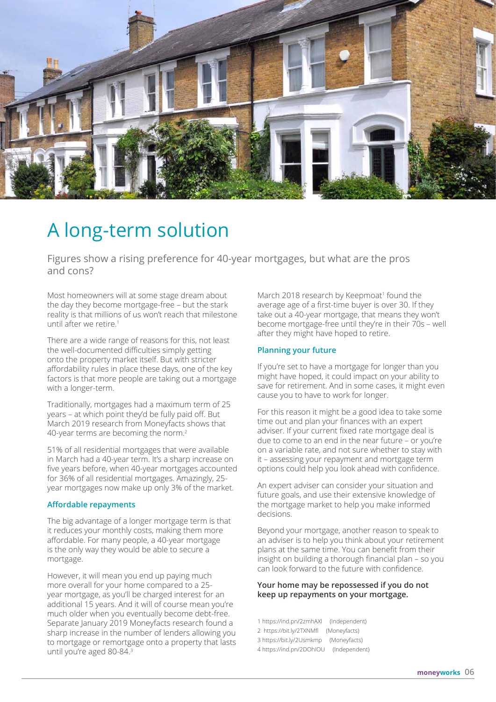

### A long-term solution

Figures show a rising preference for 40-year mortgages, but what are the pros and cons?

Most homeowners will at some stage dream about the day they become mortgage-free – but the stark reality is that millions of us won't reach that milestone until after we retire.<sup>1</sup>

There are a wide range of reasons for this, not least the well-documented difficulties simply getting onto the property market itself. But with stricter affordability rules in place these days, one of the key factors is that more people are taking out a mortgage with a longer-term.

Traditionally, mortgages had a maximum term of 25 years – at which point they'd be fully paid off. But March 2019 research from Moneyfacts shows that 40-year terms are becoming the norm.<sup>2</sup>

51% of all residential mortgages that were available in March had a 40-year term. It's a sharp increase on five years before, when 40-year mortgages accounted for 36% of all residential mortgages. Amazingly, 25 year mortgages now make up only 3% of the market.

### **Affordable repayments**

The big advantage of a longer mortgage term is that it reduces your monthly costs, making them more affordable. For many people, a 40-year mortgage is the only way they would be able to secure a mortgage.

However, it will mean you end up paying much more overall for your home compared to a 25 year mortgage, as you'll be charged interest for an additional 15 years. And it will of course mean you're much older when you eventually become debt-free. Separate January 2019 Moneyfacts research found a sharp increase in the number of lenders allowing you to mortgage or remortgage onto a property that lasts until you're aged 80-84.<sup>3</sup>

March 2018 research by Keepmoat<sup>1</sup> found the average age of a first-time buyer is over 30. If they take out a 40-year mortgage, that means they won't become mortgage-free until they're in their 70s – well after they might have hoped to retire.

### **Planning your future**

If you're set to have a mortgage for longer than you might have hoped, it could impact on your ability to save for retirement. And in some cases, it might even cause you to have to work for longer.

For this reason it might be a good idea to take some time out and plan your finances with an expert adviser. If your current fixed rate mortgage deal is due to come to an end in the near future – or you're on a variable rate, and not sure whether to stay with it – assessing your repayment and mortgage term options could help you look ahead with confidence.

An expert adviser can consider your situation and future goals, and use their extensive knowledge of the mortgage market to help you make informed decisions.

Beyond your mortgage, another reason to speak to an adviser is to help you think about your retirement plans at the same time. You can benefit from their insight on building a thorough financial plan – so you can look forward to the future with confidence.

### **Your home may be repossessed if you do not keep up repayments on your mortgage.**

1 https://ind.pn/2zmhAXl (Independent) 2 https://bit.ly/2TXNMfl (Moneyfacts) 3 https://bit.ly/2Usmkmp (Moneyfacts) 4 https://ind.pn/2DOhIOU (Independent)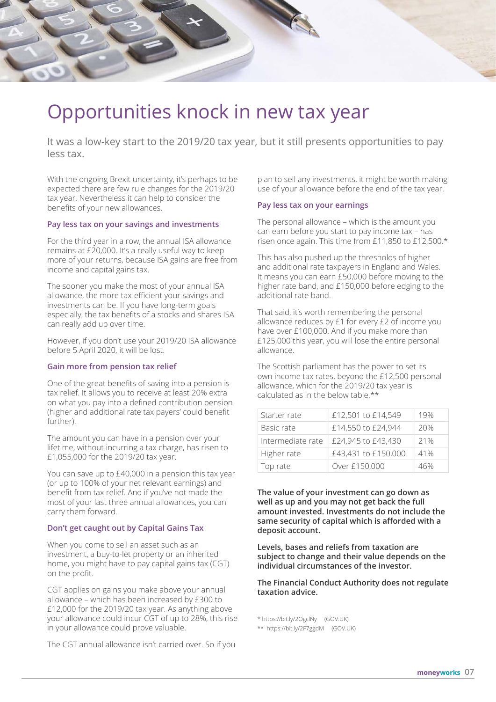

### Opportunities knock in new tax year

It was a low-key start to the 2019/20 tax year, but it still presents opportunities to pay less tax.

With the ongoing Brexit uncertainty, it's perhaps to be expected there are few rule changes for the 2019/20 tax year. Nevertheless it can help to consider the benefits of your new allowances.

### **Pay less tax on your savings and investments**

For the third year in a row, the annual ISA allowance remains at £20,000. It's a really useful way to keep more of your returns, because ISA gains are free from income and capital gains tax.

The sooner you make the most of your annual ISA allowance, the more tax-efficient your savings and investments can be. If you have long-term goals especially, the tax benefits of a stocks and shares ISA can really add up over time.

However, if you don't use your 2019/20 ISA allowance before 5 April 2020, it will be lost.

#### **Gain more from pension tax relief**

One of the great benefits of saving into a pension is tax relief. It allows you to receive at least 20% extra on what you pay into a defined contribution pension (higher and additional rate tax payers' could benefit further).

The amount you can have in a pension over your lifetime, without incurring a tax charge, has risen to £1,055,000 for the 2019/20 tax year.

You can save up to £40,000 in a pension this tax year (or up to 100% of your net relevant earnings) and benefit from tax relief. And if you've not made the most of your last three annual allowances, you can carry them forward.

#### **Don't get caught out by Capital Gains Tax**

When you come to sell an asset such as an investment, a buy-to-let property or an inherited home, you might have to pay capital gains tax (CGT) on the profit.

CGT applies on gains you make above your annual allowance – which has been increased by £300 to £12,000 for the 2019/20 tax year. As anything above your allowance could incur CGT of up to 28%, this rise in your allowance could prove valuable.

The CGT annual allowance isn't carried over. So if you

plan to sell any investments, it might be worth making use of your allowance before the end of the tax year.

### **Pay less tax on your earnings**

The personal allowance – which is the amount you can earn before you start to pay income tax – has risen once again. This time from £11,850 to £12,500.\*

This has also pushed up the thresholds of higher and additional rate taxpayers in England and Wales. It means you can earn £50,000 before moving to the higher rate band, and £150,000 before edging to the additional rate band.

That said, it's worth remembering the personal allowance reduces by £1 for every £2 of income you have over £100,000. And if you make more than £125,000 this year, you will lose the entire personal allowance.

The Scottish parliament has the power to set its own income tax rates, beyond the £12,500 personal allowance, which for the 2019/20 tax year is calculated as in the below table.\*\*

| Starter rate      | £12,501 to £14,549  | 19% |
|-------------------|---------------------|-----|
| Basic rate        | £14,550 to £24,944  | 20% |
| Intermediate rate | £24,945 to £43,430  | 21% |
| Higher rate       | £43,431 to £150,000 | 41% |
| Top rate          | Over £150,000       | 46% |

**The value of your investment can go down as well as up and you may not get back the full amount invested. Investments do not include the same security of capital which is afforded with a deposit account.**

**Levels, bases and reliefs from taxation are subject to change and their value depends on the individual circumstances of the investor.**

**The Financial Conduct Authority does not regulate taxation advice.**

\* https://bit.ly/2OgclNy (GOV.UK)

\*\* https://bit.ly/2F7ggdM (GOV.UK)